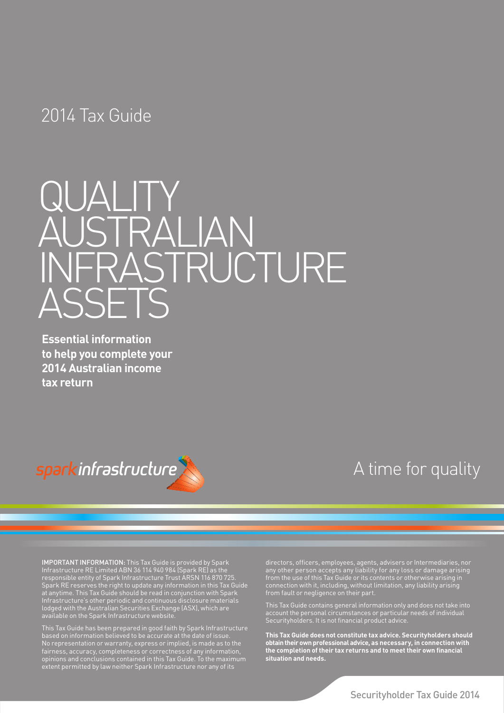## 2014 Tax Guide



**Essential information to help you complete your 2014 Australian income tax return**



## A time for quality

**IMPORTANT INFORMATION:** This Tax Guide is provided by Spark Infrastructure RE Limited ABN 36 114 940 984 (Spark RE) as the responsible entity of Spark Infrastructure Trust ARSN 116 870 725. Spark RE reserves the right to update any information in this Tax Guide at anytime. This Tax Guide should be read in conjunction with Spark Infrastructure's other periodic and continuous disclosure materials lodged with the Australian Securities Exchange (ASX), which are available on the Spark Infrastructure website.

This Tax Guide has been prepared in good faith by Spark Infrastructure based on information believed to be accurate at the date of issue. No representation or warranty, express or implied, is made as to the fairness, accuracy, completeness or correctness of any information, opinions and conclusions contained in this Tax Guide. To the maximum extent permitted by law neither Spark Infrastructure nor any of its

directors, officers, employees, agents, advisers or Intermediaries, nor any other person accepts any liability for any loss or damage arising connection with it, including, without limitation, any liability arising from fault or negligence on their part.

This Tax Guide contains general information only and does not take into account the personal circumstances or particular needs of individual Securityholders. It is not financial product advice.

**This Tax Guide does not constitute tax advice. Securityholders should obtain their own professional advice, as necessary, in connection with the completion of their tax returns and to meet their own financial situation and needs.**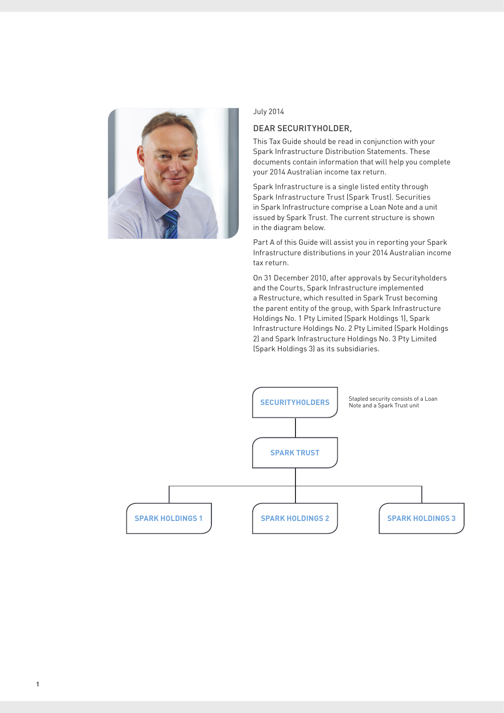

#### July 2014

#### Dear Securityholder,

This Tax Guide should be read in conjunction with your Spark Infrastructure Distribution Statements. These documents contain information that will help you complete your 2014 Australian income tax return.

Spark Infrastructure is a single listed entity through Spark Infrastructure Trust (Spark Trust). Securities in Spark Infrastructure comprise a Loan Note and a unit issued by Spark Trust. The current structure is shown in the diagram below.

Part A of this Guide will assist you in reporting your Spark Infrastructure distributions in your 2014 Australian income tax return.

On 31 December 2010, after approvals by Securityholders and the Courts, Spark Infrastructure implemented a Restructure, which resulted in Spark Trust becoming the parent entity of the group, with Spark Infrastructure Holdings No. 1 Pty Limited (Spark Holdings 1), Spark Infrastructure Holdings No. 2 Pty Limited (Spark Holdings 2) and Spark Infrastructure Holdings No. 3 Pty Limited (Spark Holdings 3) as its subsidiaries.

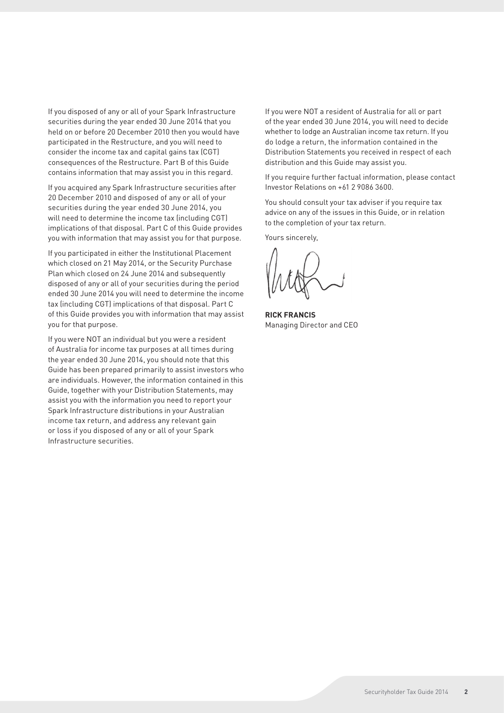If you disposed of any or all of your Spark Infrastructure securities during the year ended 30 June 2014 that you held on or before 20 December 2010 then you would have participated in the Restructure, and you will need to consider the income tax and capital gains tax (CGT) consequences of the Restructure. Part B of this Guide contains information that may assist you in this regard.

If you acquired any Spark Infrastructure securities after 20 December 2010 and disposed of any or all of your securities during the year ended 30 June 2014, you will need to determine the income tax (including CGT) implications of that disposal. Part C of this Guide provides you with information that may assist you for that purpose.

If you participated in either the Institutional Placement which closed on 21 May 2014, or the Security Purchase Plan which closed on 24 June 2014 and subsequently disposed of any or all of your securities during the period ended 30 June 2014 you will need to determine the income tax (including CGT) implications of that disposal. Part C of this Guide provides you with information that may assist you for that purpose.

If you were NOT an individual but you were a resident of Australia for income tax purposes at all times during the year ended 30 June 2014, you should note that this Guide has been prepared primarily to assist investors who are individuals. However, the information contained in this Guide, together with your Distribution Statements, may assist you with the information you need to report your Spark Infrastructure distributions in your Australian income tax return, and address any relevant gain or loss if you disposed of any or all of your Spark Infrastructure securities.

If you were NOT a resident of Australia for all or part of the year ended 30 June 2014, you will need to decide whether to lodge an Australian income tax return. If you do lodge a return, the information contained in the Distribution Statements you received in respect of each distribution and this Guide may assist you.

If you require further factual information, please contact Investor Relations on +61 2 9086 3600.

You should consult your tax adviser if you require tax advice on any of the issues in this Guide, or in relation to the completion of your tax return.

Yours sincerely,

**Rick Francis** Managing Director and CEO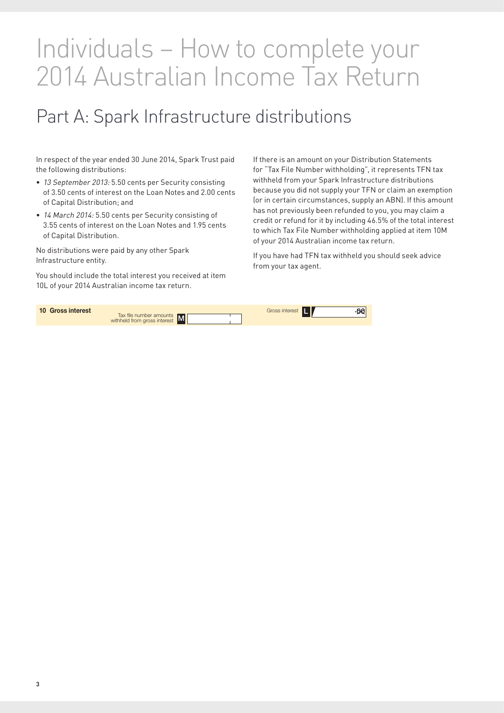# Individuals – How to complete your 2014 Australian Income Tax Return

# Part A: Spark Infrastructure distributions

In respect of the year ended 30 June 2014, Spark Trust paid the following distributions:

- 13 September 2013: 5.50 cents per Security consisting of 3.50 cents of interest on the Loan Notes and 2.00 cents of Capital Distribution; and
- 14 March 2014: 5.50 cents per Security consisting of 3.55 cents of interest on the Loan Notes and 1.95 cents of Capital Distribution.

No distributions were paid by any other Spark Infrastructure entity.

You should include the total interest you received at item 10L of your 2014 Australian income tax return.

If there is an amount on your Distribution Statements for "Tax File Number withholding", it represents TFN tax withheld from your Spark Infrastructure distributions because you did not supply your TFN or claim an exemption (or in certain circumstances, supply an ABN). If this amount has not previously been refunded to you, you may claim a credit or refund for it by including 46.5% of the total interest to which Tax File Number withholding applied at item 10M of your 2014 Australian income tax return.

If you have had TFN tax withheld you should seek advice from your tax agent.

| 10 Gross interest                                         | -00                     |
|-----------------------------------------------------------|-------------------------|
| Tax file number amounts<br>withheld from gross interest M | Gross interest <b>T</b> |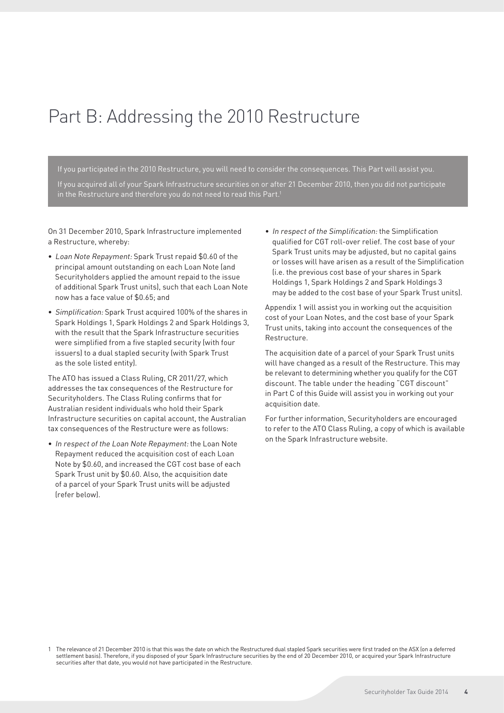# Part B: Addressing the 2010 Restructure

If you participated in the 2010 Restructure, you will need to consider the consequences. This Part will assist you. If you acquired all of your Spark Infrastructure securities on or after 21 December 2010, then you did not participate in the Restructure and therefore you do not need to read this Part.<sup>1</sup>

On 31 December 2010, Spark Infrastructure implemented a Restructure, whereby:

- Loan Note Repayment: Spark Trust repaid \$0.60 of the principal amount outstanding on each Loan Note (and Securityholders applied the amount repaid to the issue of additional Spark Trust units), such that each Loan Note now has a face value of \$0.65; and
- • Simplification: Spark Trust acquired 100% of the shares in Spark Holdings 1, Spark Holdings 2 and Spark Holdings 3, with the result that the Spark Infrastructure securities were simplified from a five stapled security (with four issuers) to a dual stapled security (with Spark Trust as the sole listed entity).

The ATO has issued a Class Ruling, CR 2011/27, which addresses the tax consequences of the Restructure for Securityholders. The Class Ruling confirms that for Australian resident individuals who hold their Spark Infrastructure securities on capital account, the Australian tax consequences of the Restructure were as follows:

• In respect of the Loan Note Repayment: the Loan Note Repayment reduced the acquisition cost of each Loan Note by \$0.60, and increased the CGT cost base of each Spark Trust unit by \$0.60. Also, the acquisition date of a parcel of your Spark Trust units will be adjusted (refer below).

• In respect of the Simplification: the Simplification qualified for CGT roll-over relief. The cost base of your Spark Trust units may be adjusted, but no capital gains or losses will have arisen as a result of the Simplification (i.e. the previous cost base of your shares in Spark Holdings 1, Spark Holdings 2 and Spark Holdings 3 may be added to the cost base of your Spark Trust units).

Appendix 1 will assist you in working out the acquisition cost of your Loan Notes, and the cost base of your Spark Trust units, taking into account the consequences of the Restructure.

The acquisition date of a parcel of your Spark Trust units will have changed as a result of the Restructure. This may be relevant to determining whether you qualify for the CGT discount. The table under the heading "CGT discount" in Part C of this Guide will assist you in working out your acquisition date.

For further information, Securityholders are encouraged to refer to the ATO Class Ruling, a copy of which is available on the Spark Infrastructure website.

<sup>1</sup> The relevance of 21 December 2010 is that this was the date on which the Restructured dual stapled Spark securities were first traded on the ASX (on a deferred settlement basis). Therefore, if you disposed of your Spark Infrastructure securities by the end of 20 December 2010, or acquired your Spark Infrastructure securities after that date, you would not have participated in the Restructure.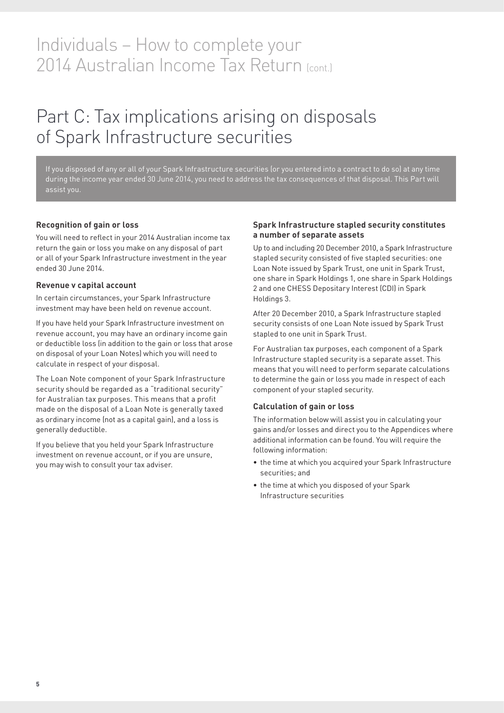## Individuals – How to complete your 2014 Australian Income Tax Return (cont.)

# Part C: Tax implications arising on disposals of Spark Infrastructure securities

If you disposed of any or all of your Spark Infrastructure securities (or you entered into a contract to do so) at any time during the income year ended 30 June 2014, you need to address the tax consequences of that disposal. This Part will

#### **Recognition of gain or loss**

You will need to reflect in your 2014 Australian income tax return the gain or loss you make on any disposal of part or all of your Spark Infrastructure investment in the year ended 30 June 2014.

#### **Revenue v capital account**

In certain circumstances, your Spark Infrastructure investment may have been held on revenue account.

If you have held your Spark Infrastructure investment on revenue account, you may have an ordinary income gain or deductible loss (in addition to the gain or loss that arose on disposal of your Loan Notes) which you will need to calculate in respect of your disposal.

The Loan Note component of your Spark Infrastructure security should be regarded as a "traditional security" for Australian tax purposes. This means that a profit made on the disposal of a Loan Note is generally taxed as ordinary income (not as a capital gain), and a loss is generally deductible.

If you believe that you held your Spark Infrastructure investment on revenue account, or if you are unsure, you may wish to consult your tax adviser.

#### **Spark Infrastructure stapled security constitutes a number of separate assets**

Up to and including 20 December 2010, a Spark Infrastructure stapled security consisted of five stapled securities: one Loan Note issued by Spark Trust, one unit in Spark Trust, one share in Spark Holdings 1, one share in Spark Holdings 2 and one CHESS Depositary Interest (CDI) in Spark Holdings 3.

After 20 December 2010, a Spark Infrastructure stapled security consists of one Loan Note issued by Spark Trust stapled to one unit in Spark Trust.

For Australian tax purposes, each component of a Spark Infrastructure stapled security is a separate asset. This means that you will need to perform separate calculations to determine the gain or loss you made in respect of each component of your stapled security.

#### **Calculation of gain or loss**

The information below will assist you in calculating your gains and/or losses and direct you to the Appendices where additional information can be found. You will require the following information:

- the time at which you acquired your Spark Infrastructure securities; and
- the time at which you disposed of your Spark Infrastructure securities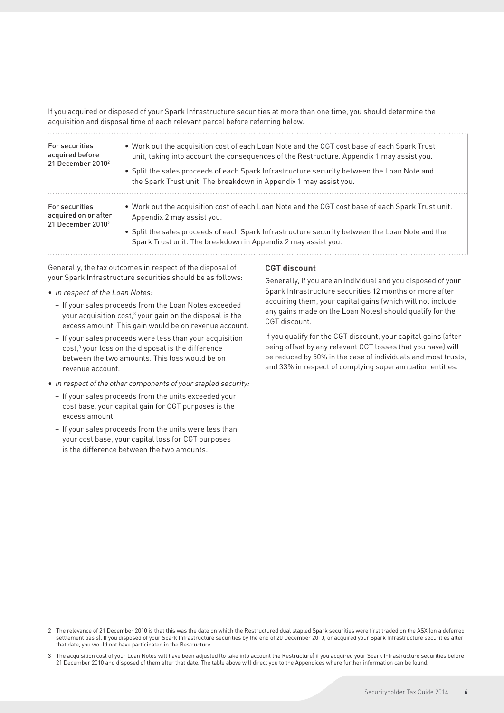If you acquired or disposed of your Spark Infrastructure securities at more than one time, you should determine the acquisition and disposal time of each relevant parcel before referring below.

| For securities<br>acquired before<br>21 December 2010 <sup>2</sup>      | . Work out the acquisition cost of each Loan Note and the CGT cost base of each Spark Trust<br>unit, taking into account the consequences of the Restructure. Appendix 1 may assist you.<br>• Split the sales proceeds of each Spark Infrastructure security between the Loan Note and<br>the Spark Trust unit. The breakdown in Appendix 1 may assist you. |
|-------------------------------------------------------------------------|-------------------------------------------------------------------------------------------------------------------------------------------------------------------------------------------------------------------------------------------------------------------------------------------------------------------------------------------------------------|
| For securities<br>acquired on or after<br>21 December 2010 <sup>2</sup> | • Work out the acquisition cost of each Loan Note and the CGT cost base of each Spark Trust unit.<br>Appendix 2 may assist you.<br>• Split the sales proceeds of each Spark Infrastructure security between the Loan Note and the<br>Spark Trust unit. The breakdown in Appendix 2 may assist you.                                                          |

Generally, the tax outcomes in respect of the disposal of your Spark Infrastructure securities should be as follows:

- In respect of the Loan Notes:
	- − If your sales proceeds from the Loan Notes exceeded your acquisition cost, $3$  your gain on the disposal is the excess amount. This gain would be on revenue account.
	- − If your sales proceeds were less than your acquisition cost,<sup>3</sup> your loss on the disposal is the difference between the two amounts. This loss would be on revenue account.
- In respect of the other components of your stapled security:
	- − If your sales proceeds from the units exceeded your cost base, your capital gain for CGT purposes is the excess amount.
	- − If your sales proceeds from the units were less than your cost base, your capital loss for CGT purposes is the difference between the two amounts.

#### **CGT discount**

Generally, if you are an individual and you disposed of your Spark Infrastructure securities 12 months or more after acquiring them, your capital gains (which will not include any gains made on the Loan Notes) should qualify for the CGT discount.

If you qualify for the CGT discount, your capital gains (after being offset by any relevant CGT losses that you have) will be reduced by 50% in the case of individuals and most trusts, and 33% in respect of complying superannuation entities.

- 2 The relevance of 21 December 2010 is that this was the date on which the Restructured dual stapled Spark securities were first traded on the ASX (on a deferred settlement basis). If you disposed of your Spark Infrastructure securities by the end of 20 December 2010, or acquired your Spark Infrastructure securities after that date, you would not have participated in the Restructure.
- 3 The acquisition cost of your Loan Notes will have been adjusted (to take into account the Restructure) if you acquired your Spark Infrastructure securities before 21 December 2010 and disposed of them after that date. The table above will direct you to the Appendices where further information can be found.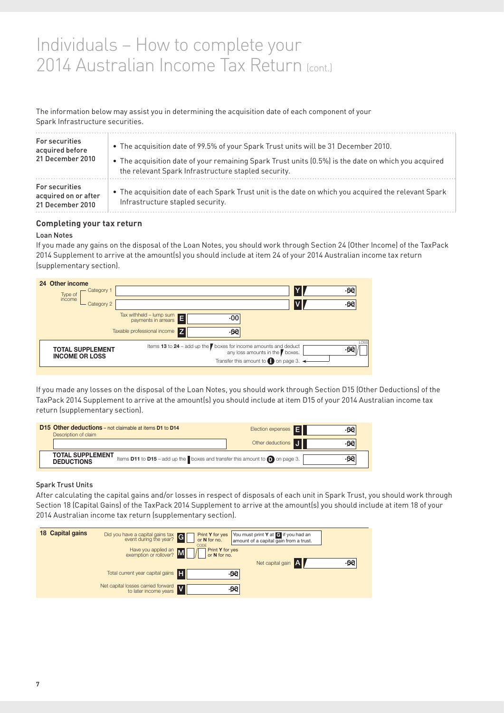## p comptete your 2014 Australian Income Tax Return (cont.) Individuals - How to complete your

### .<br>The information below may assist you in determining the acquisition date of each component of your Spark Infrastructure securities.

| For securities                                             | . The acquisition date of 99.5% of your Spark Trust units will be 31 December 2010.                                                      |
|------------------------------------------------------------|------------------------------------------------------------------------------------------------------------------------------------------|
| acquired before                                            | • The acquisition date of your remaining Spark Trust units (0.5%) is the date on which you acquired                                      |
| 21 December 2010                                           | the relevant Spark Infrastructure stapled security.                                                                                      |
| For securities<br>acquired on or after<br>21 December 2010 | • The acquisition date of each Spark Trust unit is the date on which you acquired the relevant Spark<br>Infrastructure stapled security. |

#### **Completing your tax return** Other rental deductions Net rent

#### Loan Notes

If you made any gains on the disposal of the Loan Notes, you should work through Section 24 (Other Income) of the TaxPack 2014 Supplement to arrive at the amount(s) you should include at item 24 of your 2014 Australian income tax return (supplementary section).



If you made any losses on the disposal of the Loan Notes, you should work through Section D15 (Other Deductions) of the over<br>TaxPack 2014 Supplement to arrive at the amount(s) you should include at item D15 of your 2014 Australian income tax return (supplementary section).  $\blacksquare$ ack 2014 Sup

| Description of claim                         | <b>D15 Other deductions</b> – not claimable at items <b>D1</b> to <b>D14</b>          | Election expenses E |  |
|----------------------------------------------|---------------------------------------------------------------------------------------|---------------------|--|
|                                              |                                                                                       | Other deductions J  |  |
| <b>TOTAL SUPPLEMENT</b><br><b>DEDUCTIONS</b> | Items D11 to D15 - add up the boxes and transfer this amount to $\bigcirc$ on page 3. |                     |  |
|                                              |                                                                                       |                     |  |

#### Spark Trust Units

.<br>After calculating the capital gains and/or losses in respect of disposals of each unit in Spark Trust, you should work through obonen to (odphat odine) or including den between oupprement to different dentities, you bitchen<br>2014 Australian income tax return (supplementary section). Section 18 (Capital Gains) of the TaxPack 2014 Supplement to arrive at the amount(s) you should include at item 18 of your .00 N natural disaster

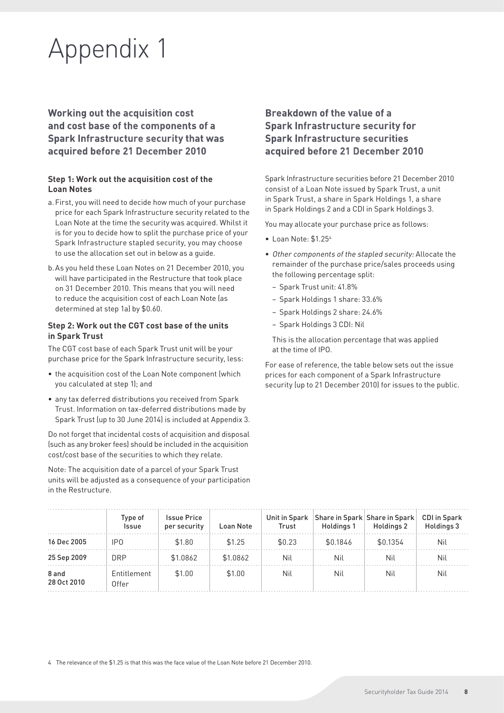# Appendix 1

**Working out the acquisition cost and cost base of the components of a Spark Infrastructure security that was acquired before 21 December 2010**

#### **Step 1: Work out the acquisition cost of the Loan Notes**

- a.First, you will need to decide how much of your purchase price for each Spark Infrastructure security related to the Loan Note at the time the security was acquired. Whilst it is for you to decide how to split the purchase price of your Spark Infrastructure stapled security, you may choose to use the allocation set out in below as a guide.
- b.As you held these Loan Notes on 21 December 2010, you will have participated in the Restructure that took place on 31 December 2010. This means that you will need to reduce the acquisition cost of each Loan Note (as determined at step 1a) by \$0.60.

#### **Step 2: Work out the CGT cost base of the units in Spark Trust**

The CGT cost base of each Spark Trust unit will be your purchase price for the Spark Infrastructure security, less:

- the acquisition cost of the Loan Note component (which you calculated at step 1); and
- any tax deferred distributions you received from Spark Trust. Information on tax-deferred distributions made by Spark Trust (up to 30 June 2014) is included at Appendix 3.

Do not forget that incidental costs of acquisition and disposal (such as any broker fees) should be included in the acquisition cost/cost base of the securities to which they relate.

Note: The acquisition date of a parcel of your Spark Trust units will be adjusted as a consequence of your participation in the Restructure.

## **Breakdown of the value of a Spark Infrastructure security for Spark Infrastructure securities acquired before 21 December 2010**

Spark Infrastructure securities before 21 December 2010 consist of a Loan Note issued by Spark Trust, a unit in Spark Trust, a share in Spark Holdings 1, a share in Spark Holdings 2 and a CDI in Spark Holdings 3.

You may allocate your purchase price as follows:

- • Loan Note: \$1.254
- • Other components of the stapled security: Allocate the remainder of the purchase price/sales proceeds using the following percentage split:
	- − Spark Trust unit: 41.8%
	- − Spark Holdings 1 share: 33.6%
	- − Spark Holdings 2 share: 24.6%
	- − Spark Holdings 3 CDI: Nil

This is the allocation percentage that was applied at the time of IPO.

For ease of reference, the table below sets out the issue prices for each component of a Spark Infrastructure security (up to 21 December 2010) for issues to the public.

|                      | Type of<br><b>Issue</b> | <b>Issue Price</b><br>per security | Loan Note | Unit in Spark<br>Trust | Holdings 1 | Share in Spark Share in Spark<br>Holdings 2 | <b>CDI</b> in Spark<br>Holdings 3 |
|----------------------|-------------------------|------------------------------------|-----------|------------------------|------------|---------------------------------------------|-----------------------------------|
| 16 Dec 2005          | IP <sub>0</sub>         | \$1.80                             | \$1.25    | \$0.23                 | \$0.1846   | \$0.1354                                    | Nil                               |
| 25 Sep 2009          | <b>DRP</b>              | \$1.0862                           | \$1.0862  | Nil                    | Nil        | Nil                                         | Nil                               |
| 8 and<br>28 Oct 2010 | Entitlement<br>Offer    | \$1.00                             | \$1.00    | Nil                    | Nil        | Nil                                         | Nil                               |

4 The relevance of the \$1.25 is that this was the face value of the Loan Note before 21 December 2010.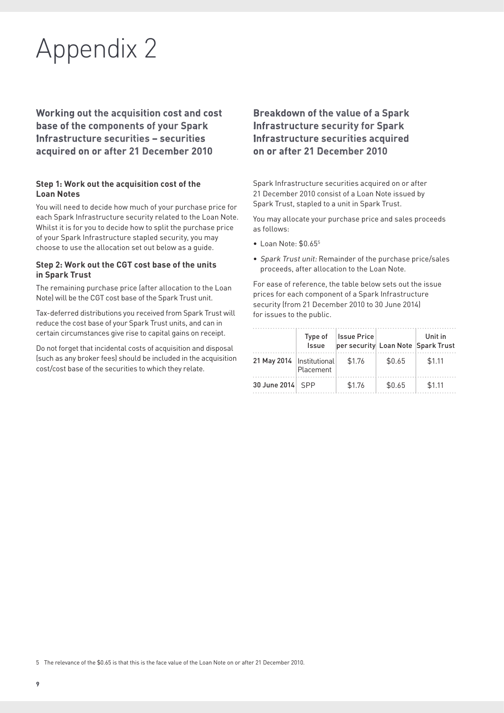# Appendix 2

**Working out the acquisition cost and cost base of the components of your Spark Infrastructure securities – securities acquired on or after 21 December 2010**

#### **Step 1: Work out the acquisition cost of the Loan Notes**

You will need to decide how much of your purchase price for each Spark Infrastructure security related to the Loan Note. Whilst it is for you to decide how to split the purchase price of your Spark Infrastructure stapled security, you may choose to use the allocation set out below as a guide.

#### **Step 2: Work out the CGT cost base of the units in Spark Trust**

The remaining purchase price (after allocation to the Loan Note) will be the CGT cost base of the Spark Trust unit.

Tax-deferred distributions you received from Spark Trust will reduce the cost base of your Spark Trust units, and can in certain circumstances give rise to capital gains on receipt.

Do not forget that incidental costs of acquisition and disposal (such as any broker fees) should be included in the acquisition cost/cost base of the securities to which they relate.

### **Breakdown of the value of a Spark Infrastructure security for Spark Infrastructure securities acquired on or after 21 December 2010**

Spark Infrastructure securities acquired on or after 21 December 2010 consist of a Loan Note issued by Spark Trust, stapled to a unit in Spark Trust.

You may allocate your purchase price and sales proceeds as follows:

- Loan Note: \$0.65<sup>5</sup>
- Spark Trust unit: Remainder of the purchase price/sales proceeds, after allocation to the Loan Note.

For ease of reference, the table below sets out the issue prices for each component of a Spark Infrastructure security (from 21 December 2010 to 30 June 2014) for issues to the public.

|                             | Type of<br><b>Issue</b> | <b>Issue Price</b> |        | Unit in<br>per security Loan Note Spark Trust |
|-----------------------------|-------------------------|--------------------|--------|-----------------------------------------------|
| 21 May 2014   Institutional | Placement               | \$1.76             | \$0.65 | \$1.11                                        |
| 30 June 2014 SPP            |                         | \$1.76             | \$0.65 | \$1.11                                        |

5 The relevance of the \$0.65 is that this is the face value of the Loan Note on or after 21 December 2010.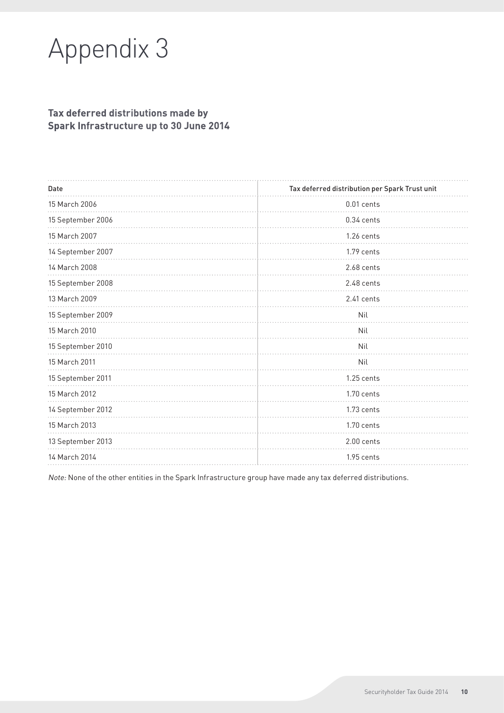# Appendix 3

## **Tax deferred distributions made by Spark Infrastructure up to 30 June 2014**

| Date              | Tax deferred distribution per Spark Trust unit |
|-------------------|------------------------------------------------|
| 15 March 2006     | $0.01$ cents                                   |
| 15 September 2006 | 0.34 cents                                     |
| 15 March 2007     | 1.26 cents                                     |
| 14 September 2007 | 1.79 cents                                     |
| 14 March 2008     | 2.68 cents                                     |
| 15 September 2008 | 2.48 cents                                     |
| 13 March 2009     | 2.41 cents                                     |
| 15 September 2009 | Nil                                            |
| 15 March 2010     | Nil                                            |
| 15 September 2010 | Nil                                            |
| 15 March 2011     | Nil                                            |
| 15 September 2011 | 1.25 cents                                     |
| 15 March 2012     | 1.70 cents                                     |
| 14 September 2012 | 1.73 cents                                     |
| 15 March 2013     | 1.70 cents                                     |
| 13 September 2013 | 2.00 cents                                     |
| 14 March 2014     | 1.95 cents                                     |
|                   |                                                |

Note: None of the other entities in the Spark Infrastructure group have made any tax deferred distributions.